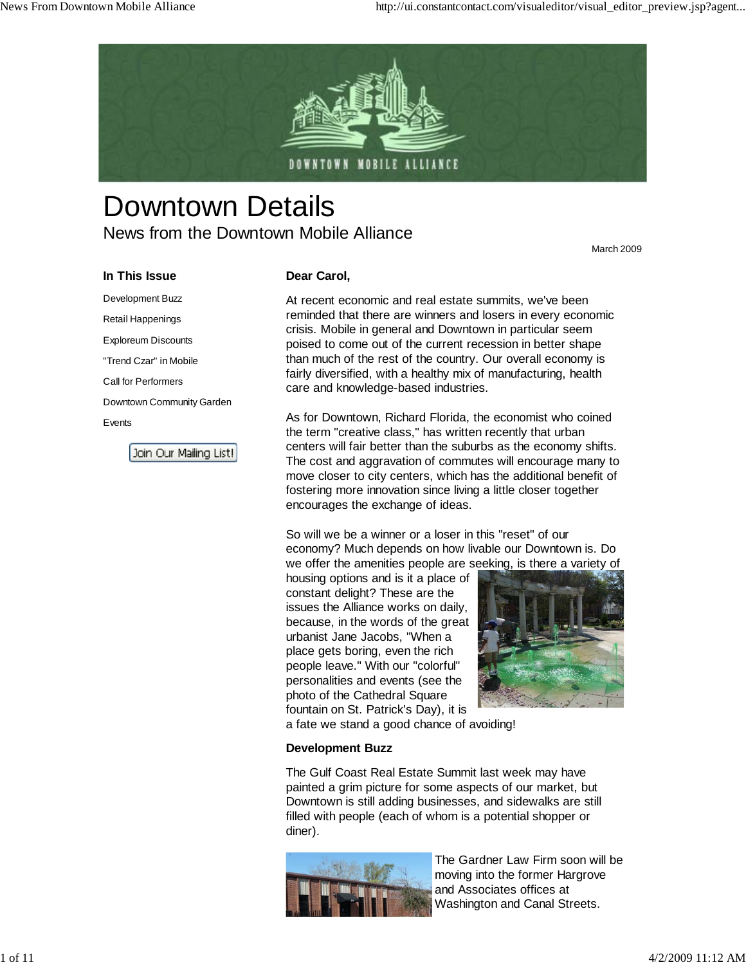

# Downtown Details News from the Downtown Mobile Alliance

March 2009

#### **In This Issue**

Development Buzz Retail Happenings Exploreum Discounts "Trend Czar" in Mobile Call for Performers Downtown Community Garden Events

Join Our Mailing List!

#### **Dear Carol,**

At recent economic and real estate summits, we've been reminded that there are winners and losers in every economic crisis. Mobile in general and Downtown in particular seem poised to come out of the current recession in better shape than much of the rest of the country. Our overall economy is fairly diversified, with a healthy mix of manufacturing, health care and knowledge-based industries.

As for Downtown, Richard Florida, the economist who coined the term "creative class," has written recently that urban centers will fair better than the suburbs as the economy shifts. The cost and aggravation of commutes will encourage many to move closer to city centers, which has the additional benefit of fostering more innovation since living a little closer together encourages the exchange of ideas.

So will we be a winner or a loser in this "reset" of our economy? Much depends on how livable our Downtown is. Do we offer the amenities people are seeking, is there a variety of

housing options and is it a place of constant delight? These are the issues the Alliance works on daily, because, in the words of the great urbanist Jane Jacobs, "When a place gets boring, even the rich people leave." With our "colorful" personalities and events (see the photo of the Cathedral Square fountain on St. Patrick's Day), it is



a fate we stand a good chance of avoiding!

#### **Development Buzz**

The Gulf Coast Real Estate Summit last week may have painted a grim picture for some aspects of our market, but Downtown is still adding businesses, and sidewalks are still filled with people (each of whom is a potential shopper or diner).



The Gardner Law Firm soon will be moving into the former Hargrove and Associates offices at Washington and Canal Streets.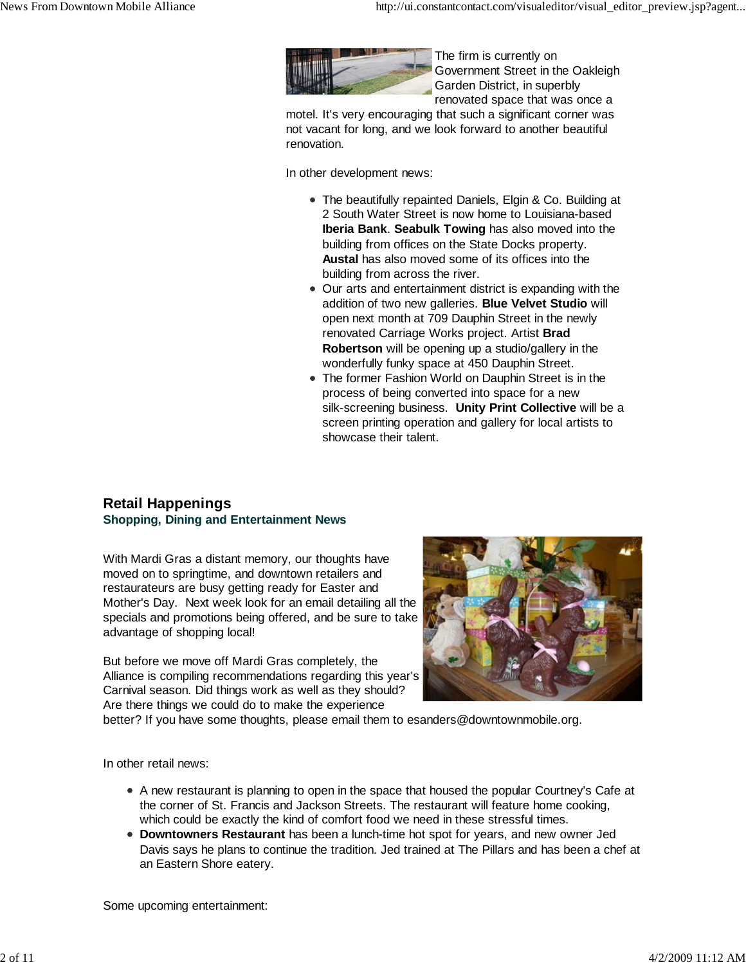

The firm is currently on Government Street in the Oakleigh Garden District, in superbly renovated space that was once a

motel. It's very encouraging that such a significant corner was not vacant for long, and we look forward to another beautiful renovation.

In other development news:

- The beautifully repainted Daniels, Elgin & Co. Building at 2 South Water Street is now home to Louisiana-based **Iberia Bank**. **Seabulk Towing** has also moved into the building from offices on the State Docks property. **Austal** has also moved some of its offices into the building from across the river.
- Our arts and entertainment district is expanding with the addition of two new galleries. **Blue Velvet Studio** will open next month at 709 Dauphin Street in the newly renovated Carriage Works project. Artist **Brad Robertson** will be opening up a studio/gallery in the wonderfully funky space at 450 Dauphin Street.
- The former Fashion World on Dauphin Street is in the process of being converted into space for a new silk-screening business. **Unity Print Collective** will be a screen printing operation and gallery for local artists to showcase their talent.

## **Retail Happenings Shopping, Dining and Entertainment News**

With Mardi Gras a distant memory, our thoughts have moved on to springtime, and downtown retailers and restaurateurs are busy getting ready for Easter and Mother's Day. Next week look for an email detailing all the specials and promotions being offered, and be sure to take advantage of shopping local!

But before we move off Mardi Gras completely, the Alliance is compiling recommendations regarding this year's Carnival season. Did things work as well as they should? Are there things we could do to make the experience



better? If you have some thoughts, please email them to esanders@downtownmobile.org.

In other retail news:

- A new restaurant is planning to open in the space that housed the popular Courtney's Cafe at the corner of St. Francis and Jackson Streets. The restaurant will feature home cooking, which could be exactly the kind of comfort food we need in these stressful times.
- **Downtowners Restaurant** has been a lunch-time hot spot for years, and new owner Jed Davis says he plans to continue the tradition. Jed trained at The Pillars and has been a chef at an Eastern Shore eatery.

Some upcoming entertainment: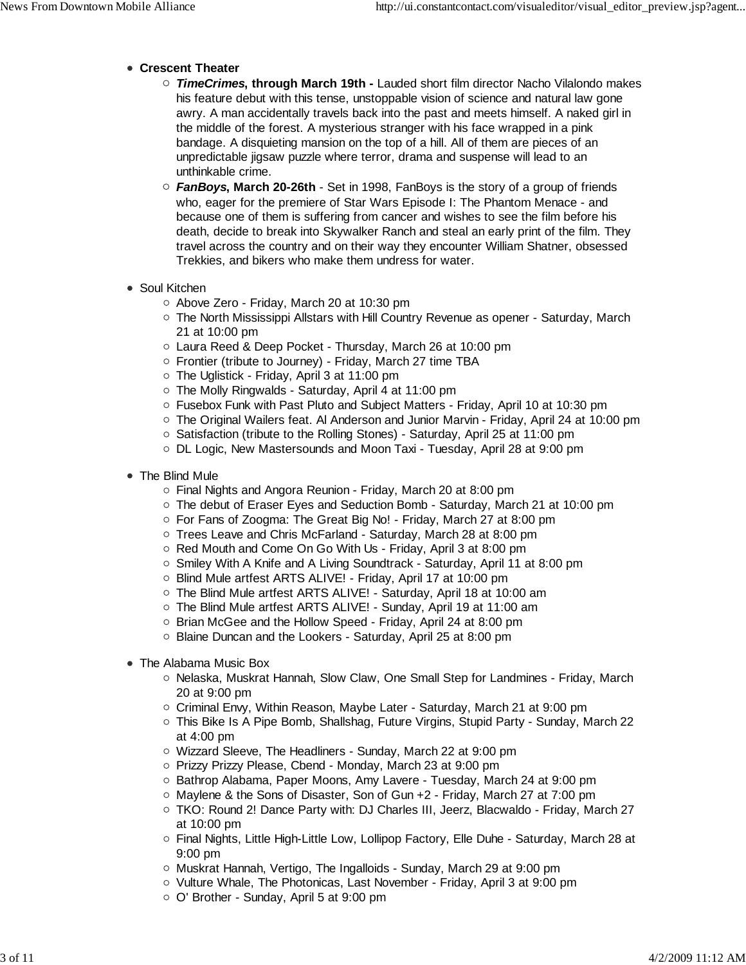- **Crescent Theater**
	- *TimeCrimes***, through March 19th** Lauded short film director Nacho Vilalondo makes his feature debut with this tense, unstoppable vision of science and natural law gone awry. A man accidentally travels back into the past and meets himself. A naked girl in the middle of the forest. A mysterious stranger with his face wrapped in a pink bandage. A disquieting mansion on the top of a hill. All of them are pieces of an unpredictable jigsaw puzzle where terror, drama and suspense will lead to an unthinkable crime.
	- *FanBoys***, March 20-26th** Set in 1998, FanBoys is the story of a group of friends who, eager for the premiere of Star Wars Episode I: The Phantom Menace - and because one of them is suffering from cancer and wishes to see the film before his death, decide to break into Skywalker Ranch and steal an early print of the film. They travel across the country and on their way they encounter William Shatner, obsessed Trekkies, and bikers who make them undress for water.
- Soul Kitchen
	- Above Zero Friday, March 20 at 10:30 pm
	- $\circ$  The North Mississippi Allstars with Hill Country Revenue as opener Saturday, March 21 at 10:00 pm
	- Laura Reed & Deep Pocket Thursday, March 26 at 10:00 pm
	- Frontier (tribute to Journey) Friday, March 27 time TBA
	- $\circ$  The Uglistick Friday, April 3 at 11:00 pm
	- The Molly Ringwalds Saturday, April 4 at 11:00 pm
	- $\circ$  Fusebox Funk with Past Pluto and Subject Matters Friday, April 10 at 10:30 pm
	- $\circ$  The Original Wailers feat. Al Anderson and Junior Marvin Friday, April 24 at 10:00 pm
	- o Satisfaction (tribute to the Rolling Stones) Saturday, April 25 at 11:00 pm
	- DL Logic, New Mastersounds and Moon Taxi Tuesday, April 28 at 9:00 pm
- The Blind Mule
	- Final Nights and Angora Reunion Friday, March 20 at 8:00 pm
	- $\circ$  The debut of Eraser Eves and Seduction Bomb Saturday, March 21 at 10:00 pm
	- For Fans of Zoogma: The Great Big No! Friday, March 27 at 8:00 pm
	- Trees Leave and Chris McFarland Saturday, March 28 at 8:00 pm
	- Red Mouth and Come On Go With Us Friday, April 3 at 8:00 pm
	- Smiley With A Knife and A Living Soundtrack Saturday, April 11 at 8:00 pm
	- Blind Mule artfest ARTS ALIVE! Friday, April 17 at 10:00 pm
	- The Blind Mule artfest ARTS ALIVE! Saturday, April 18 at 10:00 am
	- The Blind Mule artfest ARTS ALIVE! Sunday, April 19 at 11:00 am
	- Brian McGee and the Hollow Speed Friday, April 24 at 8:00 pm
	- Blaine Duncan and the Lookers Saturday, April 25 at 8:00 pm
- The Alabama Music Box
	- $\circ$  Nelaska, Muskrat Hannah, Slow Claw, One Small Step for Landmines Friday, March 20 at 9:00 pm
	- $\circ$  Criminal Envy, Within Reason, Maybe Later Saturday, March 21 at 9:00 pm
	- o This Bike Is A Pipe Bomb, Shallshag, Future Virgins, Stupid Party Sunday, March 22 at 4:00 pm
	- Wizzard Sleeve, The Headliners Sunday, March 22 at 9:00 pm
	- Prizzy Prizzy Please, Cbend Monday, March 23 at 9:00 pm
	- $\circ$  Bathrop Alabama, Paper Moons, Amy Lavere Tuesday, March 24 at 9:00 pm
	- $\circ$  Maylene & the Sons of Disaster, Son of Gun  $+2$  Friday, March 27 at 7:00 pm
	- TKO: Round 2! Dance Party with: DJ Charles III, Jeerz, Blacwaldo Friday, March 27 at 10:00 pm
	- Final Nights, Little High-Little Low, Lollipop Factory, Elle Duhe Saturday, March 28 at 9:00 pm
	- Muskrat Hannah, Vertigo, The Ingalloids Sunday, March 29 at 9:00 pm
	- o Vulture Whale, The Photonicas, Last November Friday, April 3 at 9:00 pm
	- O' Brother Sunday, April 5 at 9:00 pm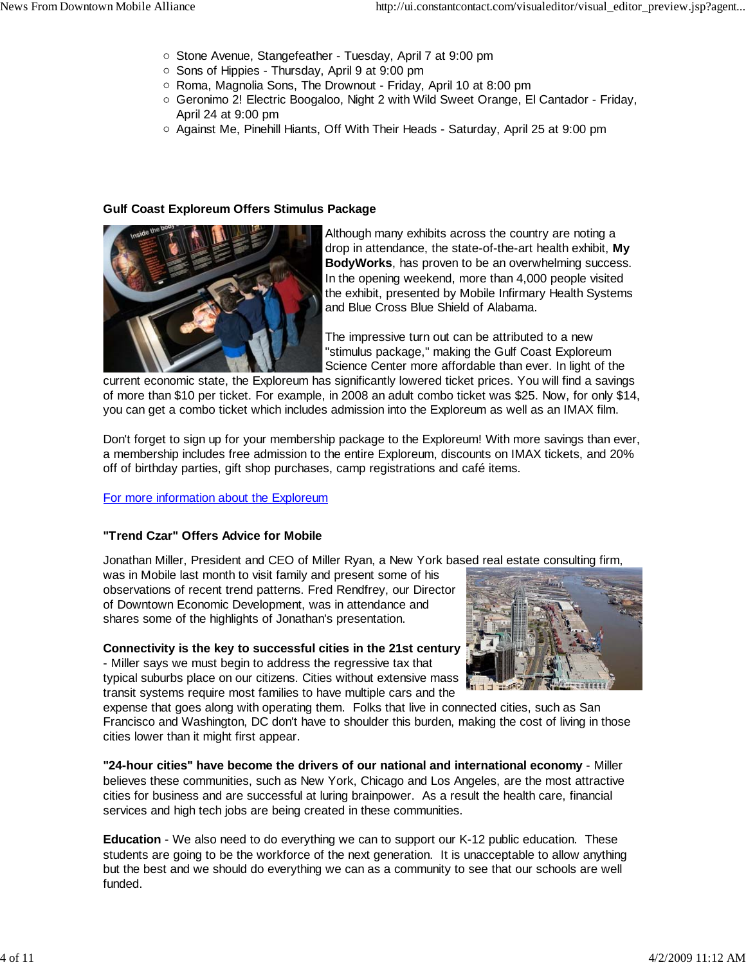- Stone Avenue, Stangefeather Tuesday, April 7 at 9:00 pm
- Sons of Hippies Thursday, April 9 at 9:00 pm
- $\circ$  Roma, Magnolia Sons, The Drownout Friday, April 10 at 8:00 pm
- Geronimo 2! Electric Boogaloo, Night 2 with Wild Sweet Orange, El Cantador Friday, April 24 at 9:00 pm
- Against Me, Pinehill Hiants, Off With Their Heads Saturday, April 25 at 9:00 pm

#### **Gulf Coast Exploreum Offers Stimulus Package**



Although many exhibits across the country are noting a drop in attendance, the state-of-the-art health exhibit, **My BodyWorks**, has proven to be an overwhelming success. In the opening weekend, more than 4,000 people visited the exhibit, presented by Mobile Infirmary Health Systems and Blue Cross Blue Shield of Alabama.

The impressive turn out can be attributed to a new "stimulus package," making the Gulf Coast Exploreum Science Center more affordable than ever. In light of the

current economic state, the Exploreum has significantly lowered ticket prices. You will find a savings of more than \$10 per ticket. For example, in 2008 an adult combo ticket was \$25. Now, for only \$14, you can get a combo ticket which includes admission into the Exploreum as well as an IMAX film.

Don't forget to sign up for your membership package to the Exploreum! With more savings than ever, a membership includes free admission to the entire Exploreum, discounts on IMAX tickets, and 20% off of birthday parties, gift shop purchases, camp registrations and café items.

#### For more information about the Exploreum

#### **"Trend Czar" Offers Advice for Mobile**

Jonathan Miller, President and CEO of Miller Ryan, a New York based real estate consulting firm,

was in Mobile last month to visit family and present some of his observations of recent trend patterns. Fred Rendfrey, our Director of Downtown Economic Development, was in attendance and shares some of the highlights of Jonathan's presentation.

#### **Connectivity is the key to successful cities in the 21st century** - Miller says we must begin to address the regressive tax that

typical suburbs place on our citizens. Cities without extensive mass transit systems require most families to have multiple cars and the



expense that goes along with operating them. Folks that live in connected cities, such as San Francisco and Washington, DC don't have to shoulder this burden, making the cost of living in those cities lower than it might first appear.

**"24-hour cities" have become the drivers of our national and international economy** - Miller believes these communities, such as New York, Chicago and Los Angeles, are the most attractive cities for business and are successful at luring brainpower. As a result the health care, financial services and high tech jobs are being created in these communities.

**Education** - We also need to do everything we can to support our K-12 public education. These students are going to be the workforce of the next generation. It is unacceptable to allow anything but the best and we should do everything we can as a community to see that our schools are well funded.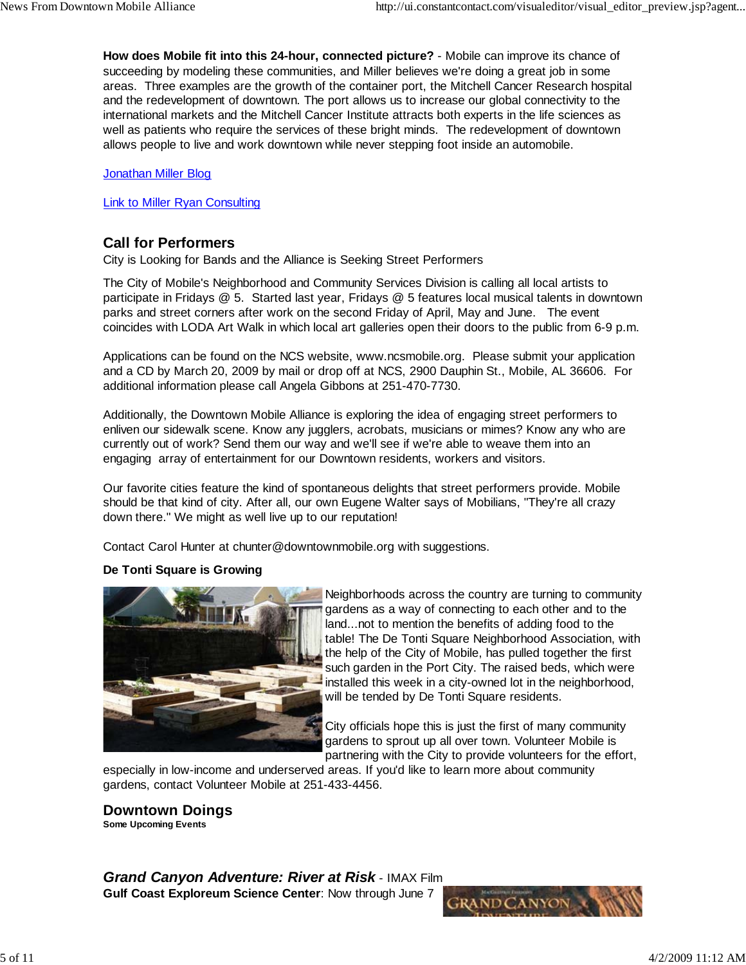**How does Mobile fit into this 24-hour, connected picture?** - Mobile can improve its chance of succeeding by modeling these communities, and Miller believes we're doing a great job in some areas. Three examples are the growth of the container port, the Mitchell Cancer Research hospital and the redevelopment of downtown. The port allows us to increase our global connectivity to the international markets and the Mitchell Cancer Institute attracts both experts in the life sciences as well as patients who require the services of these bright minds. The redevelopment of downtown allows people to live and work downtown while never stepping foot inside an automobile.

Jonathan Miller Blog

Link to Miller Ryan Consulting

## **Call for Performers**

City is Looking for Bands and the Alliance is Seeking Street Performers

The City of Mobile's Neighborhood and Community Services Division is calling all local artists to participate in Fridays @ 5. Started last year, Fridays @ 5 features local musical talents in downtown parks and street corners after work on the second Friday of April, May and June. The event coincides with LODA Art Walk in which local art galleries open their doors to the public from 6-9 p.m.

Applications can be found on the NCS website, www.ncsmobile.org. Please submit your application and a CD by March 20, 2009 by mail or drop off at NCS, 2900 Dauphin St., Mobile, AL 36606. For additional information please call Angela Gibbons at 251-470-7730.

Additionally, the Downtown Mobile Alliance is exploring the idea of engaging street performers to enliven our sidewalk scene. Know any jugglers, acrobats, musicians or mimes? Know any who are currently out of work? Send them our way and we'll see if we're able to weave them into an engaging array of entertainment for our Downtown residents, workers and visitors.

Our favorite cities feature the kind of spontaneous delights that street performers provide. Mobile should be that kind of city. After all, our own Eugene Walter says of Mobilians, "They're all crazy down there." We might as well live up to our reputation!

Contact Carol Hunter at chunter@downtownmobile.org with suggestions.

## **De Tonti Square is Growing**



Neighborhoods across the country are turning to community gardens as a way of connecting to each other and to the land...not to mention the benefits of adding food to the table! The De Tonti Square Neighborhood Association, with the help of the City of Mobile, has pulled together the first such garden in the Port City. The raised beds, which were installed this week in a city-owned lot in the neighborhood, will be tended by De Tonti Square residents.

City officials hope this is just the first of many community gardens to sprout up all over town. Volunteer Mobile is partnering with the City to provide volunteers for the effort,

especially in low-income and underserved areas. If you'd like to learn more about community gardens, contact Volunteer Mobile at 251-433-4456.

**Downtown Doings Some Upcoming Events**

*Grand Canyon Adventure: River at Risk* - IMAX Film **Gulf Coast Exploreum Science Center**: Now through June 7

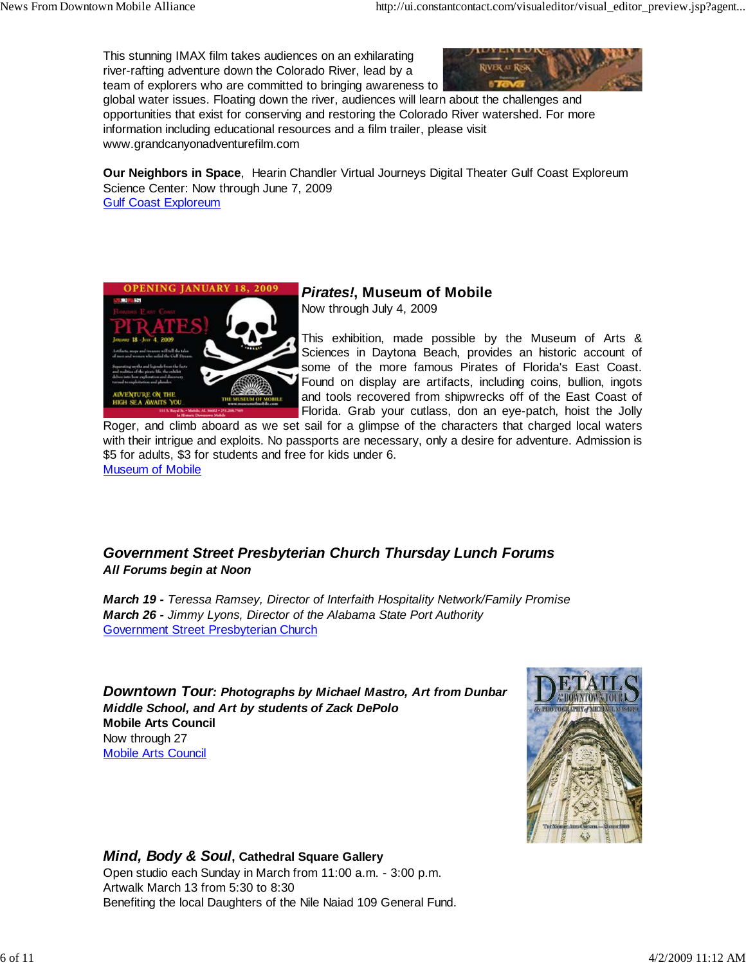This stunning IMAX film takes audiences on an exhilarating river-rafting adventure down the Colorado River, lead by a team of explorers who are committed to bringing awareness to



global water issues. Floating down the river, audiences will learn about the challenges and opportunities that exist for conserving and restoring the Colorado River watershed. For more information including educational resources and a film trailer, please visit www.grandcanyonadventurefilm.com

**Our Neighbors in Space**, Hearin Chandler Virtual Journeys Digital Theater Gulf Coast Exploreum Science Center: Now through June 7, 2009 Gulf Coast Exploreum



# *Pirates!***, Museum of Mobile**

Now through July 4, 2009

This exhibition, made possible by the Museum of Arts & Sciences in Daytona Beach, provides an historic account of some of the more famous Pirates of Florida's East Coast. Found on display are artifacts, including coins, bullion, ingots and tools recovered from shipwrecks off of the East Coast of Florida. Grab your cutlass, don an eye-patch, hoist the Jolly

Roger, and climb aboard as we set sail for a glimpse of the characters that charged local waters with their intrigue and exploits. No passports are necessary, only a desire for adventure. Admission is \$5 for adults, \$3 for students and free for kids under 6. Museum of Mobile

## *Government Street Presbyterian Church Thursday Lunch Forums All Forums begin at Noon*

*March 19 - Teressa Ramsey, Director of Interfaith Hospitality Network/Family Promise March 26 - Jimmy Lyons, Director of the Alabama State Port Authority* Government Street Presbyterian Church

*Downtown Tour: Photographs by Michael Mastro, Art from Dunbar Middle School, and Art by students of Zack DePolo* **Mobile Arts Council** Now through 27 Mobile Arts Council



## *Mind, Body & Soul***, Cathedral Square Gallery**

Open studio each Sunday in March from 11:00 a.m. - 3:00 p.m. Artwalk March 13 from 5:30 to 8:30 Benefiting the local Daughters of the Nile Naiad 109 General Fund.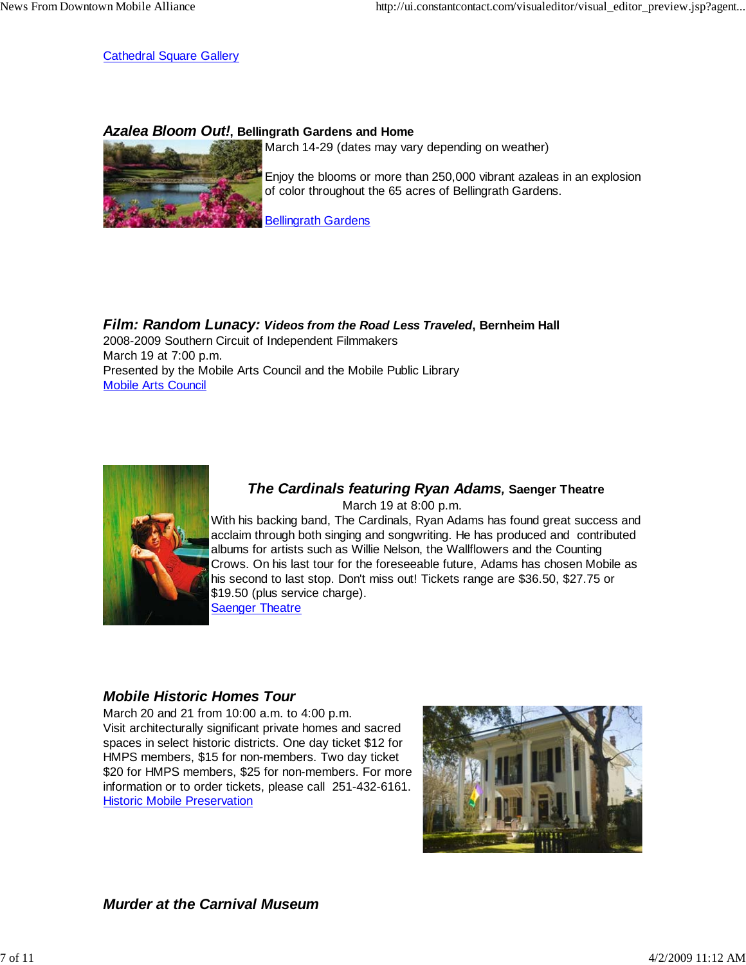Cathedral Square Gallery

## *Azalea Bloom Out!***, Bellingrath Gardens and Home**



March 14-29 (dates may vary depending on weather)

Enjoy the blooms or more than 250,000 vibrant azaleas in an explosion of color throughout the 65 acres of Bellingrath Gardens.

Bellingrath Gardens

*Film: Random Lunacy: Videos from the Road Less Traveled***, Bernheim Hall** 2008-2009 Southern Circuit of Independent Filmmakers March 19 at 7:00 p.m. Presented by the Mobile Arts Council and the Mobile Public Library Mobile Arts Council



#### *The Cardinals featuring Ryan Adams,* **Saenger Theatre** March 19 at 8:00 p.m. With his backing band, The Cardinals, Ryan Adams has found great success and acclaim through both singing and songwriting. He has produced and contributed albums for artists such as Willie Nelson, the Wallflowers and the Counting Crows. On his last tour for the foreseeable future, Adams has chosen Mobile as his second to last stop. Don't miss out! Tickets range are \$36.50, \$27.75 or \$19.50 (plus service charge).

Saenger Theatre

## *Mobile Historic Homes Tour*

March 20 and 21 from 10:00 a.m. to 4:00 p.m. Visit architecturally significant private homes and sacred spaces in select historic districts. One day ticket \$12 for HMPS members, \$15 for non-members. Two day ticket \$20 for HMPS members, \$25 for non-members. For more information or to order tickets, please call 251-432-6161. Historic Mobile Preservation



*Murder at the Carnival Museum*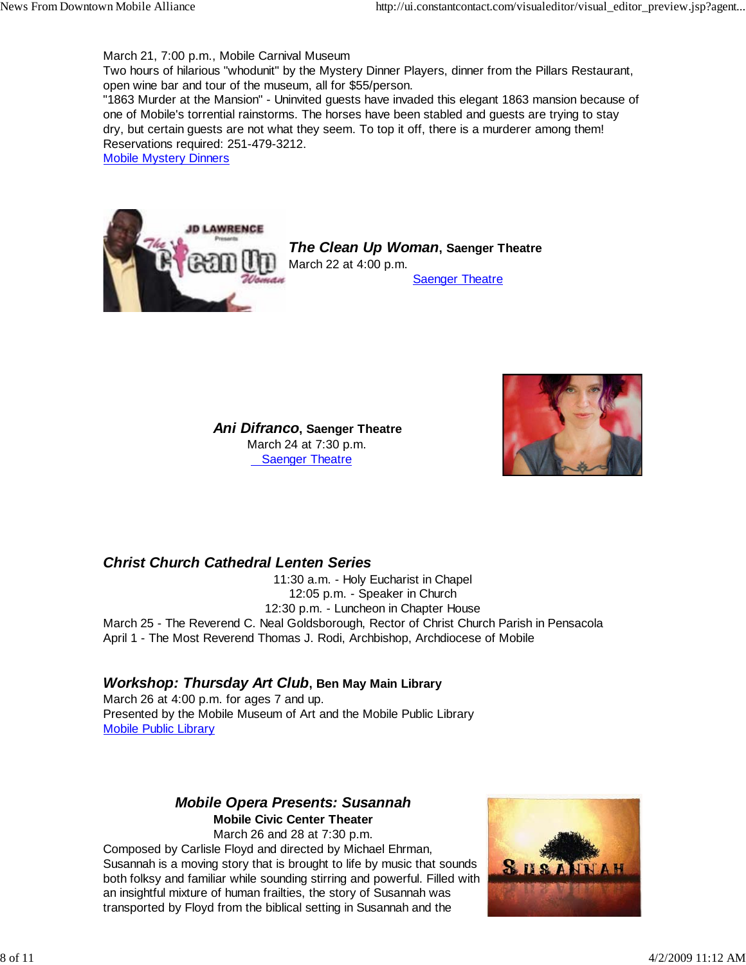March 21, 7:00 p.m., Mobile Carnival Museum

Two hours of hilarious "whodunit" by the Mystery Dinner Players, dinner from the Pillars Restaurant, open wine bar and tour of the museum, all for \$55/person.

"1863 Murder at the Mansion" - Uninvited guests have invaded this elegant 1863 mansion because of one of Mobile's torrential rainstorms. The horses have been stabled and guests are trying to stay dry, but certain guests are not what they seem. To top it off, there is a murderer among them! Reservations required: 251-479-3212.

Mobile Mystery Dinners



*The Clean Up Woman***, Saenger Theatre** March 22 at 4:00 p.m. Saenger Theatre



 *Ani Difranco***, Saenger Theatre** March 24 at 7:30 p.m. Saenger Theatre

## *Christ Church Cathedral Lenten Series*

11:30 a.m. - Holy Eucharist in Chapel 12:05 p.m. - Speaker in Church 12:30 p.m. - Luncheon in Chapter House March 25 - The Reverend C. Neal Goldsborough, Rector of Christ Church Parish in Pensacola April 1 - The Most Reverend Thomas J. Rodi, Archbishop, Archdiocese of Mobile

## *Workshop: Thursday Art Club***, Ben May Main Library**

March 26 at 4:00 p.m. for ages 7 and up. Presented by the Mobile Museum of Art and the Mobile Public Library Mobile Public Library

### *Mobile Opera Presents: Susannah* **Mobile Civic Center Theater**

March 26 and 28 at 7:30 p.m. Composed by Carlisle Floyd and directed by Michael Ehrman, Susannah is a moving story that is brought to life by music that sounds both folksy and familiar while sounding stirring and powerful. Filled with an insightful mixture of human frailties, the story of Susannah was transported by Floyd from the biblical setting in Susannah and the

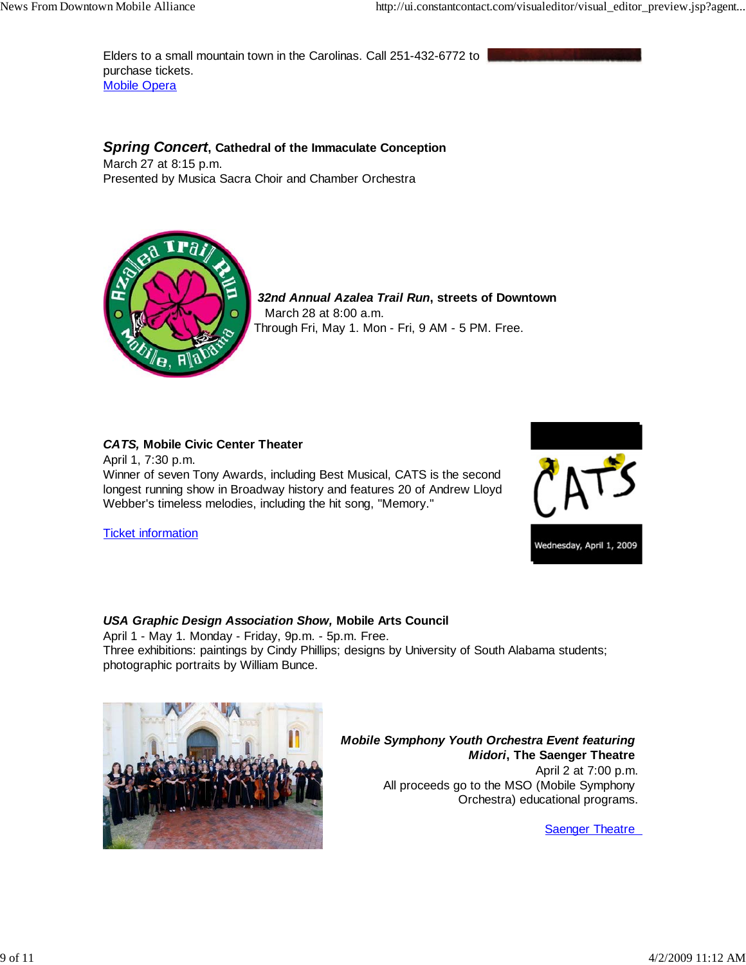Elders to a small mountain town in the Carolinas. Call 251-432-6772 to purchase tickets. **Mobile Opera** 

## *Spring Concert***, Cathedral of the Immaculate Conception**

March 27 at 8:15 p.m. Presented by Musica Sacra Choir and Chamber Orchestra



 *32nd Annual Azalea Trail Run***, streets of Downtown** March 28 at 8:00 a.m. Through Fri, May 1. Mon - Fri, 9 AM - 5 PM. Free.

#### *CATS,* **Mobile Civic Center Theater**

April 1, 7:30 p.m. Winner of seven Tony Awards, including Best Musical, CATS is the second longest running show in Broadway history and features 20 of Andrew Lloyd Webber's timeless melodies, including the hit song, "Memory."

Ticket information



#### *USA Graphic Design Association Show,* **Mobile Arts Council**

April 1 - May 1. Monday - Friday, 9p.m. - 5p.m. Free. Three exhibitions: paintings by Cindy Phillips; designs by University of South Alabama students; photographic portraits by William Bunce.



*Mobile Symphony Youth Orchestra Event featuring Midori***, The Saenger Theatre** April 2 at 7:00 p.m. All proceeds go to the MSO (Mobile Symphony Orchestra) educational programs.

Saenger Theatre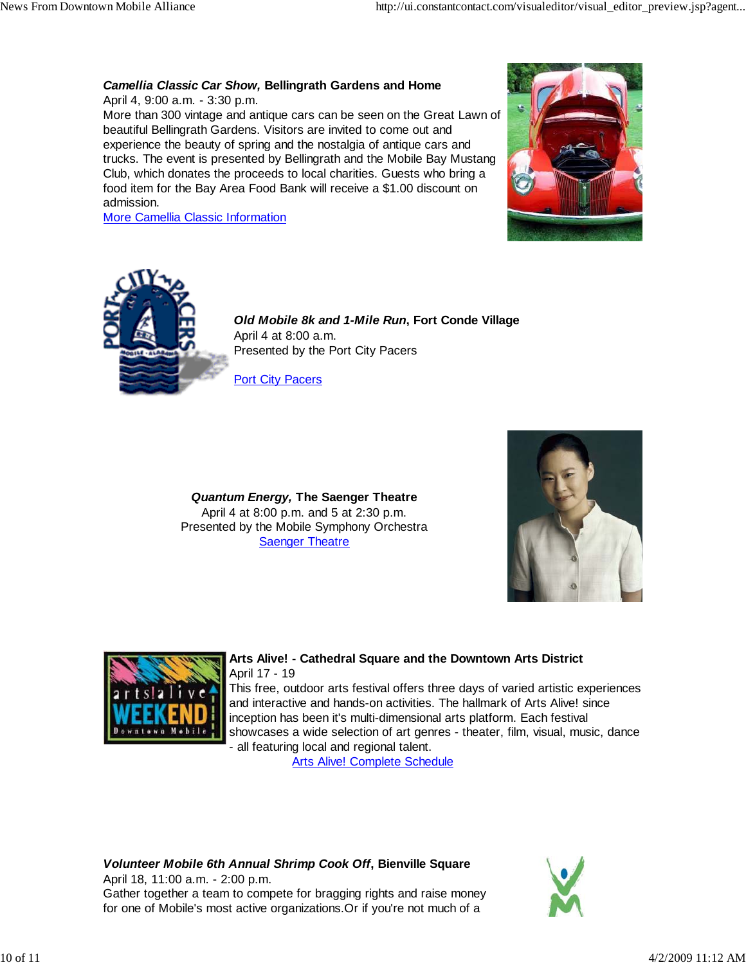## *Camellia Classic Car Show,* **Bellingrath Gardens and Home**

April 4, 9:00 a.m. - 3:30 p.m. More than 300 vintage and antique cars can be seen on the Great Lawn of beautiful Bellingrath Gardens. Visitors are invited to come out and experience the beauty of spring and the nostalgia of antique cars and trucks. The event is presented by Bellingrath and the Mobile Bay Mustang Club, which donates the proceeds to local charities. Guests who bring a food item for the Bay Area Food Bank will receive a \$1.00 discount on admission.

More Camellia Classic Information





*Old Mobile 8k and 1-Mile Run***, Fort Conde Village** April 4 at 8:00 a.m. Presented by the Port City Pacers

Port City Pacers

*Quantum Energy,* **The Saenger Theatre** April 4 at 8:00 p.m. and 5 at 2:30 p.m. Presented by the Mobile Symphony Orchestra **Saenger Theatre** 





## **Arts Alive! - Cathedral Square and the Downtown Arts District** April 17 - 19

This free, outdoor arts festival offers three days of varied artistic experiences and interactive and hands-on activities. The hallmark of Arts Alive! since inception has been it's multi-dimensional arts platform. Each festival showcases a wide selection of art genres - theater, film, visual, music, dance - all featuring local and regional talent.

Arts Alive! Complete Schedule

*Volunteer Mobile 6th Annual Shrimp Cook Off***, Bienville Square** April 18, 11:00 a.m. - 2:00 p.m.

Gather together a team to compete for bragging rights and raise money for one of Mobile's most active organizations.Or if you're not much of a